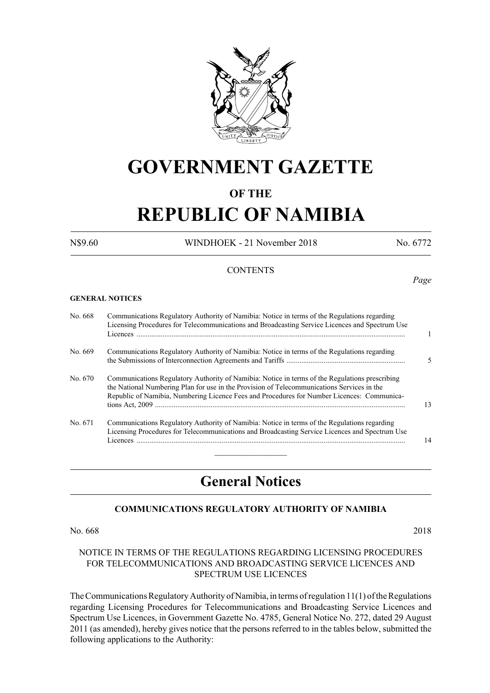

# **GOVERNMENT GAZETTE**

# **OF THE**

# **REPUBLIC OF NAMIBIA**

N\$9.60 WINDHOEK - 21 November 2018 No. 6772

*Page*

# **CONTENTS**

**GENERAL NOTICES**

| No. 668 | Communications Regulatory Authority of Namibia: Notice in terms of the Regulations regarding<br>Licensing Procedures for Telecommunications and Broadcasting Service Licences and Spectrum Use                                                                                             | 1  |
|---------|--------------------------------------------------------------------------------------------------------------------------------------------------------------------------------------------------------------------------------------------------------------------------------------------|----|
| No. 669 | Communications Regulatory Authority of Namibia: Notice in terms of the Regulations regarding                                                                                                                                                                                               | 5  |
| No. 670 | Communications Regulatory Authority of Namibia: Notice in terms of the Regulations prescribing<br>the National Numbering Plan for use in the Provision of Telecommunications Services in the<br>Republic of Namibia, Numbering Licence Fees and Procedures for Number Licences: Communica- | 13 |
| No. 671 | Communications Regulatory Authority of Namibia: Notice in terms of the Regulations regarding<br>Licensing Procedures for Telecommunications and Broadcasting Service Licences and Spectrum Use                                                                                             | 14 |

# **General Notices**

# **COMMUNICATIONS REGULATORY AUTHORITY OF NAMIBIA**

No. 668 2018

### NOTICE IN TERMS OF THE REGULATIONS REGARDING LICENSING PROCEDURES FOR TELECOMMUNICATIONS AND BROADCASTING SERVICE LICENCES AND SPECTRUM USE LICENCES

The Communications Regulatory Authority of Namibia, in terms of regulation 11(1) of the Regulations regarding Licensing Procedures for Telecommunications and Broadcasting Service Licences and Spectrum Use Licences, in Government Gazette No. 4785, General Notice No. 272, dated 29 August 2011 (as amended), hereby gives notice that the persons referred to in the tables below, submitted the following applications to the Authority: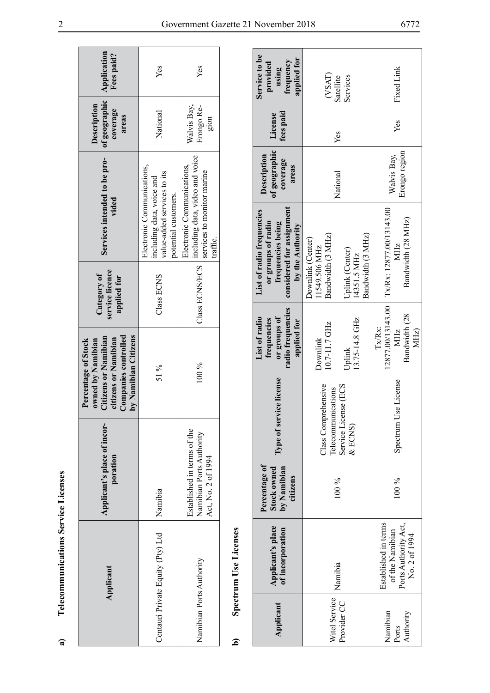| Application<br>Fees paid?                                                                                                                       | Yes                                                                                                            | Yes                                                                                                     |  |  |  |
|-------------------------------------------------------------------------------------------------------------------------------------------------|----------------------------------------------------------------------------------------------------------------|---------------------------------------------------------------------------------------------------------|--|--|--|
| of geographic<br><b>Description</b><br>coverage<br>areas                                                                                        | National                                                                                                       | Walvis Bay,<br>Erongo Re-<br>gion                                                                       |  |  |  |
| Services intended to be pro-<br>vided                                                                                                           | Electronic Communications,<br>value-added services to its<br>including data, voice and<br>potential customers. | including data, video and voice<br>Electronic Communications,<br>services to monitor marine<br>traffic. |  |  |  |
| service licence<br>Category of<br>applied for                                                                                                   | $Class$ ECNS                                                                                                   | Class ECNS/ECS                                                                                          |  |  |  |
| <b>Companies controlled</b><br>by Namibian Citizens<br>Citizens or Namibian<br>citizens or Namibian<br>owned by Namibian<br>Percentage of Stock | 51 %                                                                                                           | $100\%$                                                                                                 |  |  |  |
| Applicant's place of incor-<br>poration                                                                                                         | Namibia                                                                                                        | Established in terms of the<br>Namibian Ports Authority<br>Act, No. 2 of 1994                           |  |  |  |
| Applicant                                                                                                                                       | Centauri Private Equity (Pty) Ltd                                                                              | Namibian Ports Authority                                                                                |  |  |  |

| è<br>ŗ<br>۱   |
|---------------|
| $\frac{1}{2}$ |
| ì<br>Š        |
| ₹             |

| ಡ                              | <b>Telecommunications Service Licenses</b>                                       |                                                                               |                                           |                                                                                                                                                        |                                                                                  |                                                         |                                                                                                                       |                                                   |                                                   |                                                                |
|--------------------------------|----------------------------------------------------------------------------------|-------------------------------------------------------------------------------|-------------------------------------------|--------------------------------------------------------------------------------------------------------------------------------------------------------|----------------------------------------------------------------------------------|---------------------------------------------------------|-----------------------------------------------------------------------------------------------------------------------|---------------------------------------------------|---------------------------------------------------|----------------------------------------------------------------|
|                                | Applicant                                                                        | Applicant's place of incor-<br>poration                                       |                                           | <b>Companies controlled</b><br>by Namibian Citizens<br><b>Citizens or Namibian</b><br>citizens or Namibian<br>owned by Namibian<br>Percentage of Stock |                                                                                  | service licence<br>Category of<br>applied for           | Services intended to be pro-<br>vided                                                                                 |                                                   | of geographic<br>Description<br>coverage<br>areas | Application<br>Fees paid?                                      |
|                                | Centauri Private Equity (Pty) Ltd                                                | Namibia                                                                       |                                           | 51 %                                                                                                                                                   |                                                                                  | Class ECNS                                              | Electronic Communications,<br>value-added services to its<br>including data, voice and<br>potential customers.        |                                                   | National                                          | Yes                                                            |
| Namibian Ports Authority       |                                                                                  | Established in terms of the<br>Namibian Ports Authority<br>Act, No. 2 of 1994 |                                           | $100\ \%$                                                                                                                                              |                                                                                  | Class ECNS/ECS                                          | including data, video and voice<br>Electronic Communications,<br>services to monitor marine<br>traffic.               |                                                   | Walvis Bay,<br>Erongo Re-<br>gion                 | Yes                                                            |
| ⊆                              | <b>Spectrum Use Licenses</b>                                                     |                                                                               |                                           |                                                                                                                                                        |                                                                                  |                                                         |                                                                                                                       |                                                   |                                                   |                                                                |
| Applicant                      | Applicant's place<br>of incorporation                                            | Percentage of<br>by Namibian<br>Stock owned<br>citizens                       | Type of service license                   |                                                                                                                                                        | radio frequencies<br>or groups of<br>List of radio<br>frequencies<br>applied for |                                                         | considered for assignment<br>List of radio frequencies<br>or groups of radio<br>frequencies being<br>by the Authority | of geographic<br>Description<br>coverage<br>areas | fees paid<br>License                              | Service to be<br>applied for<br>frequency<br>provided<br>using |
| Witel Service                  |                                                                                  |                                                                               | Class Comprehensive<br>Telecommunications |                                                                                                                                                        | 10.7-11.7 GHz<br>Downlink                                                        | Bandwidth (3 MHz)<br>Downlink (Center)<br>11549.506 MHz |                                                                                                                       |                                                   |                                                   | (YSAT)                                                         |
| Provider CC                    | Namibia                                                                          | $100\,\%$                                                                     | Service License (ECS<br>&ECN(S)           |                                                                                                                                                        | 13.75-14.8 GHz<br>Uplink                                                         | Bandwidth (3 MHz)<br>Uplink (Center)<br>14351.5 MHz     |                                                                                                                       | National                                          | Yes                                               | Satellite<br>Services                                          |
| Namibian<br>Authority<br>Ports | Established in terms<br>Ports Authority Act,<br>of the Namibian<br>No. 2 of 1994 | 100 %                                                                         | Spectrum U                                | se License                                                                                                                                             | 12877.00/13143.00<br>Bandwidth (28<br>Tx/Rx:<br>MHz)<br>MHz                      |                                                         | Tx/Rx: 12877.00/13143.00<br>Bandwidth (28 MHz)<br>ZНZ                                                                 | Erongo region<br>Walvis Bay,                      | Yes                                               | Fixed Link                                                     |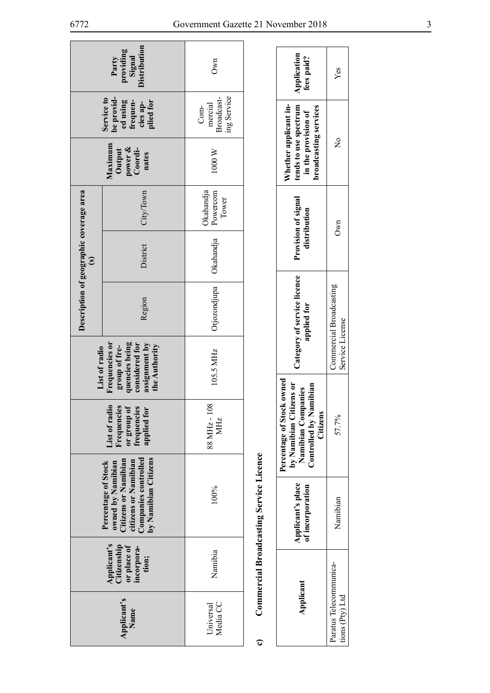| Description of geographic coverage area<br>$\widehat{\mathbf{s}}$<br>List of radio | Distribution<br>providing<br>Signal<br>Party<br>be provid-<br>Service to<br>ed using<br>plied for<br>frequen-<br>cies ap-<br>Maximum<br>power &<br>Coordi-<br>Output<br>nates<br>City/Town<br>District<br>Region<br>Frequencies or<br>quencies being<br>considered for<br>assignment by<br>the Authority<br>group of fre- | Own<br>ing Service<br>Broadcast-<br>mercial<br>Com-<br>1000 W<br>Okahandja<br>Powercom<br>Tower<br>Okahandja<br>Otjozondjupa<br>105.5 MHz |                                                | Application<br>fees paid?<br>Whether applicant in-<br>tends to use spectrum<br>broadcasting services<br>in the provision of<br>Provision of signal<br>distribution<br>Category of service licence<br>applied for<br>zens or<br>panies | Yes<br>$\frac{1}{2}$<br>Own<br>Commercial Broadcasting<br>Service License |
|------------------------------------------------------------------------------------|---------------------------------------------------------------------------------------------------------------------------------------------------------------------------------------------------------------------------------------------------------------------------------------------------------------------------|-------------------------------------------------------------------------------------------------------------------------------------------|------------------------------------------------|---------------------------------------------------------------------------------------------------------------------------------------------------------------------------------------------------------------------------------------|---------------------------------------------------------------------------|
|                                                                                    |                                                                                                                                                                                                                                                                                                                           |                                                                                                                                           |                                                |                                                                                                                                                                                                                                       |                                                                           |
|                                                                                    |                                                                                                                                                                                                                                                                                                                           |                                                                                                                                           |                                                |                                                                                                                                                                                                                                       |                                                                           |
|                                                                                    |                                                                                                                                                                                                                                                                                                                           |                                                                                                                                           |                                                |                                                                                                                                                                                                                                       |                                                                           |
|                                                                                    | List of radio<br>Frequencies<br>or group of<br>frequencies<br>applied for                                                                                                                                                                                                                                                 | 88 MHz-108<br>MHz                                                                                                                         |                                                | Percentage of Stock owned<br>Controlled by Namibian<br>by Namibian Citi<br>Namibian Comp<br>Citizens                                                                                                                                  | 57.7%                                                                     |
|                                                                                    | by Namibian Citizens<br><b>Companies controlled</b><br>Citizens or Namibian<br>citizens or Namibian<br>Percentage of Stock<br>owned by Namibian                                                                                                                                                                           | 100%                                                                                                                                      | <b>Commercial Broadcasting Service Licence</b> | Applicant's place<br>of incorporation                                                                                                                                                                                                 | Namibian                                                                  |
|                                                                                    | Applicant's<br>Citizenship<br>or place of<br>incorpora-<br>tion;                                                                                                                                                                                                                                                          | Namibia                                                                                                                                   |                                                |                                                                                                                                                                                                                                       |                                                                           |
|                                                                                    | Applicant's<br>Name                                                                                                                                                                                                                                                                                                       | Media CC<br>Universal                                                                                                                     | ಠ                                              | Applicant                                                                                                                                                                                                                             | Paratus Telecommunica-<br>tions $(Py)$ Ltd                                |

|   | $\sim$                   |  |
|---|--------------------------|--|
| I |                          |  |
|   |                          |  |
|   | <b>A 2017/2018</b>       |  |
| l |                          |  |
|   | <b>Amondonetime</b><br>D |  |
|   |                          |  |
|   |                          |  |
|   |                          |  |
| ใ | om mercia<br>r.          |  |
|   |                          |  |

| Application<br>fees paid?                                                                                       | Yes                                        |
|-----------------------------------------------------------------------------------------------------------------|--------------------------------------------|
| tends to use spectrum<br>Whether applicant in-<br>in the provision of<br>roadcasting services                   | $\frac{1}{2}$                              |
| Provision of signal<br>distribution                                                                             | Own                                        |
| Category of service licence<br>applied for                                                                      | Commercial Broadcasting<br>Service License |
| ercentage of Stock owned<br>by Namibian Citizens or<br>Controlled by Namibian<br>Namibian Companies<br>Citizens | 57.7%                                      |
| Applicant's place<br>of incorporation                                                                           | Namibian                                   |
| Applicant                                                                                                       | aratus Telecommunica-<br>ions (Pty) Ltd    |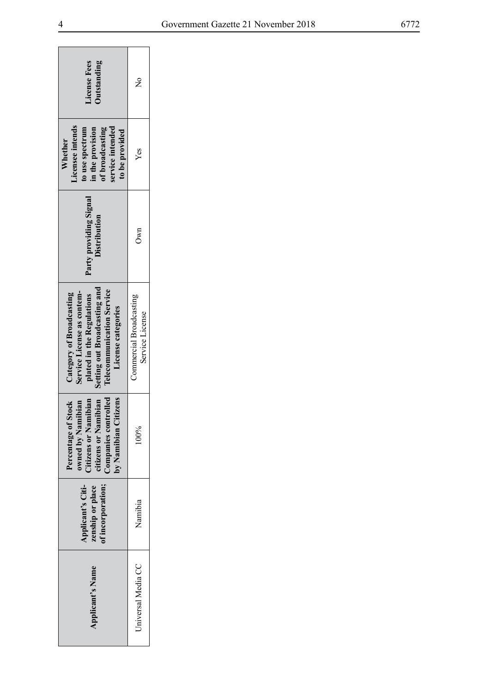| License Fees<br><b>Outstanding</b>                                                                                                                                            | $\frac{c}{Z}$                              |
|-------------------------------------------------------------------------------------------------------------------------------------------------------------------------------|--------------------------------------------|
| Licensee intends<br>ervice intended<br>of broadcasting<br>in the provision<br>to use spectrum<br>to be provided<br>Whether                                                    | Yes                                        |
| Party providing Signal<br>Distribution                                                                                                                                        | 0 <sub>wh</sub>                            |
| Setting out Broadcasting and<br><b>Telecommunication Service</b><br>Service License as contem-<br>Category of Broadcasting<br>plated in the Regulations<br>License categories | Commercial Broadcasting<br>Service License |
| Companies controlled<br>Citizens or Namibian<br>citizens or Namibian<br>by Namibian Citizens<br>Percentage of Stock<br>owned by Namibian                                      | 100%                                       |
| of incorporation;<br>Applicant's Citi-<br>zenship or place                                                                                                                    | Namibia                                    |
| <b>Applicant's Name</b>                                                                                                                                                       | Universal Media CC                         |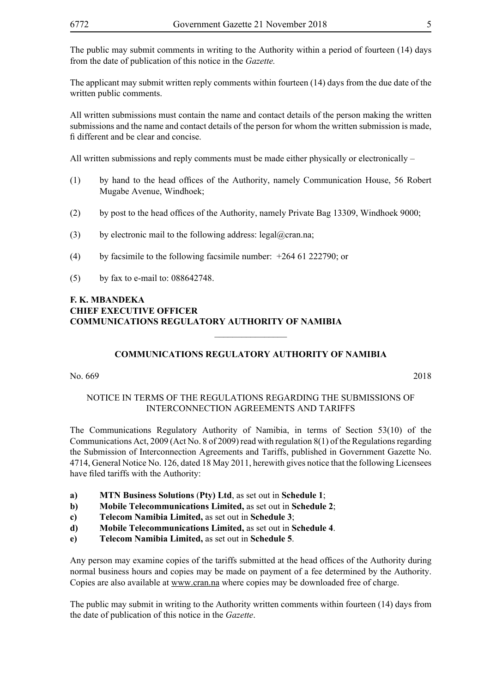The public may submit comments in writing to the Authority within a period of fourteen (14) days from the date of publication of this notice in the *Gazette.*

The applicant may submit written reply comments within fourteen (14) days from the due date of the written public comments.

All written submissions must contain the name and contact details of the person making the written submissions and the name and contact details of the person for whom the written submission is made, fi different and be clear and concise.

All written submissions and reply comments must be made either physically or electronically –

- (1) by hand to the head offices of the Authority, namely Communication House, 56 Robert Mugabe Avenue, Windhoek;
- (2) by post to the head offices of the Authority, namely Private Bag 13309, Windhoek 9000;
- (3) by electronic mail to the following address: legal@cran.na;
- (4) by facsimile to the following facsimile number: +264 61 222790; or
- (5) by fax to e-mail to: 088642748.

# **F. K. MBANDEKA CHIEF EXECUTIVE OFFICER COMMUNICATIONS REGULATORY AUTHORITY OF NAMIBIA**

# **COMMUNICATIONS REGULATORY AUTHORITY OF NAMIBIA**

 $\overline{\phantom{a}}$  , where  $\overline{\phantom{a}}$ 

No. 669 2018

# NOTICE IN TERMS OF THE REGULATIONS REGARDING THE SUBMISSIONS OF INTERCONNECTION AGREEMENTS AND TARIFFS

The Communications Regulatory Authority of Namibia, in terms of Section 53(10) of the Communications Act, 2009 (Act No. 8 of 2009) read with regulation 8(1) of the Regulations regarding the Submission of Interconnection Agreements and Tariffs, published in Government Gazette No. 4714, General Notice No. 126, dated 18 May 2011, herewith gives notice that the following Licensees have filed tariffs with the Authority:

- **a) MTN Business Solutions** (**Pty) Ltd**, as set out in **Schedule 1**;
- **b) Mobile Telecommunications Limited,** as set out in **Schedule 2**;
- **c) Telecom Namibia Limited,** as set out in **Schedule 3**;
- **d) Mobile Telecommunications Limited,** as set out in **Schedule 4**.
- **e) Telecom Namibia Limited,** as set out in **Schedule 5**.

Any person may examine copies of the tariffs submitted at the head offices of the Authority during normal business hours and copies may be made on payment of a fee determined by the Authority. Copies are also available at www.cran.na where copies may be downloaded free of charge.

The public may submit in writing to the Authority written comments within fourteen (14) days from the date of publication of this notice in the *Gazette*.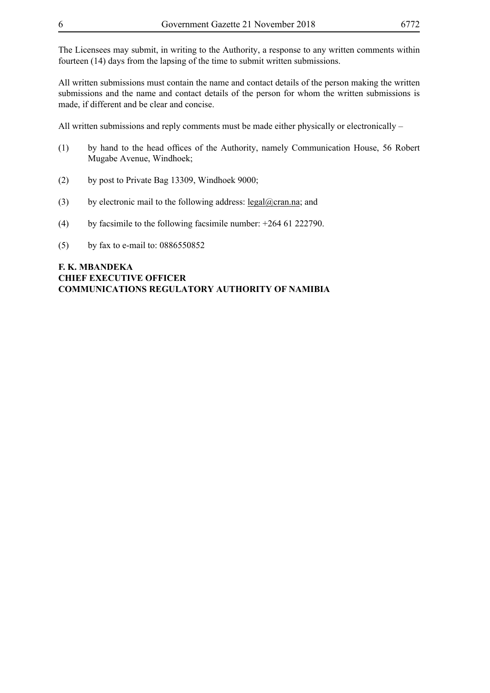The Licensees may submit, in writing to the Authority, a response to any written comments within fourteen (14) days from the lapsing of the time to submit written submissions.

All written submissions must contain the name and contact details of the person making the written submissions and the name and contact details of the person for whom the written submissions is made, if different and be clear and concise.

All written submissions and reply comments must be made either physically or electronically –

- (1) by hand to the head offices of the Authority, namely Communication House, 56 Robert Mugabe Avenue, Windhoek;
- (2) by post to Private Bag 13309, Windhoek 9000;
- (3) by electronic mail to the following address: <u>legal@cran.na</u>; and
- (4) by facsimile to the following facsimile number:  $+264$  61 222790.
- (5) by fax to e-mail to: 0886550852

# **F. K. MBANDEKA CHIEF EXECUTIVE OFFICER COMMUNICATIONS REGULATORY AUTHORITY OF NAMIBIA**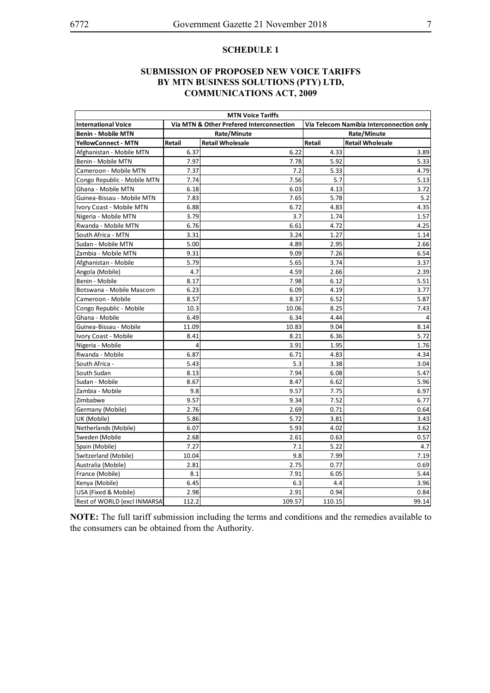#### **SUBMISSION OF PROPOSED NEW VOICE TARIFFS BY MTN BUSINESS SOLUTIONS (PTY) LTD, COMMUNICATIONS ACT, 2009**

| <b>MTN Voice Tariffs</b>     |               |                                          |        |                                          |  |  |  |  |
|------------------------------|---------------|------------------------------------------|--------|------------------------------------------|--|--|--|--|
| <b>International Voice</b>   |               | Via MTN & Other Prefered Interconnection |        | Via Telecom Namibia Interconnection only |  |  |  |  |
| <b>Benin - Mobile MTN</b>    |               | Rate/Minute                              |        | Rate/Minute                              |  |  |  |  |
| <b>YellowConnect - MTN</b>   | <b>Retail</b> | <b>Retail Wholesale</b>                  | Retail | <b>Retail Wholesale</b>                  |  |  |  |  |
| Afghanistan - Mobile MTN     | 6.37          | 6.22                                     | 4.33   | 3.89                                     |  |  |  |  |
| Benin - Mobile MTN           | 7.97          | 7.78                                     | 5.92   | 5.33                                     |  |  |  |  |
| Cameroon - Mobile MTN        | 7.37          | 7.2                                      | 5.33   | 4.79                                     |  |  |  |  |
| Congo Republic - Mobile MTN  | 7.74          | 7.56                                     | 5.7    | 5.13                                     |  |  |  |  |
| Ghana - Mobile MTN           | 6.18          | 6.03                                     | 4.13   | 3.72                                     |  |  |  |  |
| Guinea-Bissau - Mobile MTN   | 7.83          | 7.65                                     | 5.78   | 5.2                                      |  |  |  |  |
| Ivory Coast - Mobile MTN     | 6.88          | 6.72                                     | 4.83   | 4.35                                     |  |  |  |  |
| Nigeria - Mobile MTN         | 3.79          | 3.7                                      | 1.74   | 1.57                                     |  |  |  |  |
| Rwanda - Mobile MTN          | 6.76          | 6.61                                     | 4.72   | 4.25                                     |  |  |  |  |
| South Africa - MTN           | 3.31          | 3.24                                     | 1.27   | 1.14                                     |  |  |  |  |
| Sudan - Mobile MTN           | 5.00          | 4.89                                     | 2.95   | 2.66                                     |  |  |  |  |
| Zambia - Mobile MTN          | 9.31          | 9.09                                     | 7.26   | 6.54                                     |  |  |  |  |
| Afghanistan - Mobile         | 5.79          | 5.65                                     | 3.74   | 3.37                                     |  |  |  |  |
| Angola (Mobile)              | 4.7           | 4.59                                     | 2.66   | 2.39                                     |  |  |  |  |
| Benin - Mobile               | 8.17          | 7.98                                     | 6.12   | 5.51                                     |  |  |  |  |
| Botswana - Mobile Mascom     | 6.23          | 6.09                                     | 4.19   | 3.77                                     |  |  |  |  |
| Cameroon - Mobile            | 8.57          | 8.37                                     | 6.52   | 5.87                                     |  |  |  |  |
| Congo Republic - Mobile      | 10.3          | 10.06                                    | 8.25   | 7.43                                     |  |  |  |  |
| Ghana - Mobile               | 6.49          | 6.34                                     | 4.44   |                                          |  |  |  |  |
| Guinea-Bissau - Mobile       | 11.09         | 10.83                                    | 9.04   | 8.14                                     |  |  |  |  |
| Ivory Coast - Mobile         | 8.41          | 8.21                                     | 6.36   | 5.72                                     |  |  |  |  |
| Nigeria - Mobile             | 4             | 3.91                                     | 1.95   | 1.76                                     |  |  |  |  |
| Rwanda - Mobile              | 6.87          | 6.71                                     | 4.83   | 4.34                                     |  |  |  |  |
| South Africa -               | 5.43          | 5.3                                      | 3.38   | 3.04                                     |  |  |  |  |
| South Sudan                  | 8.13          | 7.94                                     | 6.08   | 5.47                                     |  |  |  |  |
| Sudan - Mobile               | 8.67          | 8.47                                     | 6.62   | 5.96                                     |  |  |  |  |
| Zambia - Mobile              | 9.8           | 9.57                                     | 7.75   | 6.97                                     |  |  |  |  |
| Zimbabwe                     | 9.57          | 9.34                                     | 7.52   | 6.77                                     |  |  |  |  |
| Germany (Mobile)             | 2.76          | 2.69                                     | 0.71   | 0.64                                     |  |  |  |  |
| UK (Mobile)                  | 5.86          | 5.72                                     | 3.81   | 3.43                                     |  |  |  |  |
| Netherlands (Mobile)         | 6.07          | 5.93                                     | 4.02   | 3.62                                     |  |  |  |  |
| Sweden (Mobile               | 2.68          | 2.61                                     | 0.63   | 0.57                                     |  |  |  |  |
| Spain (Mobile)               | 7.27          | 7.1                                      | 5.22   | 4.7                                      |  |  |  |  |
| Switzerland (Mobile)         | 10.04         | 9.8                                      | 7.99   | 7.19                                     |  |  |  |  |
| Australia (Mobile)           | 2.81          | 2.75                                     | 0.77   | 0.69                                     |  |  |  |  |
| France (Mobile)              | 8.1           | 7.91                                     | 6.05   | 5.44                                     |  |  |  |  |
| Kenya (Mobile)               | 6.45          | 6.3                                      | 4.4    | 3.96                                     |  |  |  |  |
| USA (Fixed & Mobile)         | 2.98          | 2.91                                     | 0.94   | 0.84                                     |  |  |  |  |
| Rest of WORLD (excl INMARSA) | 112.2         | 109.57                                   | 110.15 | 99.14                                    |  |  |  |  |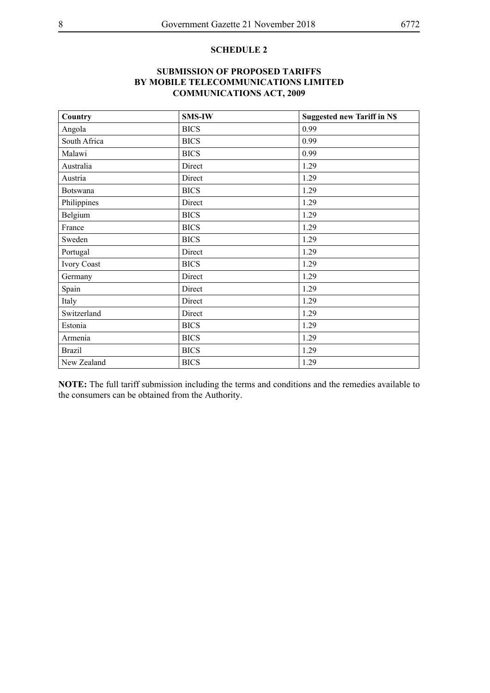# **SUBMISSION OF PROPOSED TARIFFS BY MOBILE TELECOMMUNICATIONS LIMITED COMMUNICATIONS ACT, 2009**

| Country            | <b>SMS-IW</b> | <b>Suggested new Tariff in NS</b> |
|--------------------|---------------|-----------------------------------|
| Angola             | <b>BICS</b>   | 0.99                              |
| South Africa       | <b>BICS</b>   | 0.99                              |
| Malawi             | <b>BICS</b>   | 0.99                              |
| Australia          | Direct        | 1.29                              |
| Austria            | Direct        | 1.29                              |
| <b>Botswana</b>    | <b>BICS</b>   | 1.29                              |
| Philippines        | Direct        | 1.29                              |
| Belgium            | <b>BICS</b>   | 1.29                              |
| France             | <b>BICS</b>   | 1.29                              |
| Sweden             | <b>BICS</b>   | 1.29                              |
| Portugal           | Direct        | 1.29                              |
| <b>Ivory Coast</b> | <b>BICS</b>   | 1.29                              |
| Germany            | Direct        | 1.29                              |
| Spain              | Direct        | 1.29                              |
| Italy              | Direct        | 1.29                              |
| Switzerland        | Direct        | 1.29                              |
| Estonia            | <b>BICS</b>   | 1.29                              |
| Armenia            | <b>BICS</b>   | 1.29                              |
| <b>Brazil</b>      | <b>BICS</b>   | 1.29                              |
| New Zealand        | <b>BICS</b>   | 1.29                              |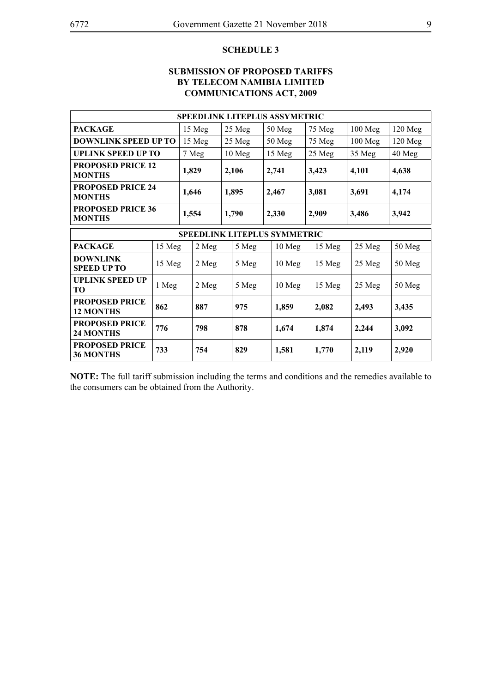# **SUBMISSION OF PROPOSED TARIFFS BY TELECOM NAMIBIA LIMITED COMMUNICATIONS ACT, 2009**

|                                                  | <b>SPEEDLINK LITEPLUS ASSYMETRIC</b> |        |                |        |                |                |          |       |          |       |           |           |
|--------------------------------------------------|--------------------------------------|--------|----------------|--------|----------------|----------------|----------|-------|----------|-------|-----------|-----------|
| <b>PACKAGE</b>                                   |                                      |        | 15 Meg         |        | 25 Meg         |                | 50 Meg   |       | 75 Meg   |       | 100 Meg   | $120$ Meg |
| <b>DOWNLINK SPEED UP TO</b>                      |                                      | 15 Meg |                |        | 25 Meg         |                | 50 Meg   |       | 75 Meg   |       | $100$ Meg | $120$ Meg |
| <b>UPLINK SPEED UP TO</b>                        |                                      | 7 Meg  |                | 10 Meg |                |                | 15 Meg   |       | 25 Meg   |       | 35 Meg    | 40 Meg    |
| <b>PROPOSED PRICE 12</b><br><b>MONTHS</b>        |                                      |        | 1,829          |        | 2,106<br>2,741 |                | 3,423    |       |          | 4,101 | 4,638     |           |
| <b>PROPOSED PRICE 24</b><br><b>MONTHS</b>        |                                      |        | 1,646<br>1,895 |        |                | 3,081<br>2,467 |          |       | 3,691    | 4,174 |           |           |
| <b>PROPOSED PRICE 36</b><br><b>MONTHS</b>        |                                      | 1,554  |                | 1,790  |                |                | 2,330    | 2,909 |          | 3,486 |           | 3,942     |
| <b>SPEEDLINK LITEPLUS SYMMETRIC</b>              |                                      |        |                |        |                |                |          |       |          |       |           |           |
| <b>PACKAGE</b>                                   | 15 Meg                               |        | 2 Meg          |        | 5 Meg          |                | $10$ Meg |       | 15 Meg   |       | 25 Meg    | 50 Meg    |
| <b>DOWNLINK</b><br><b>SPEED UP TO</b>            | 15 Meg                               |        | 2 Meg          |        | 5 Meg          |                | $10$ Meg |       | $15$ Meg |       | 25 Meg    | 50 Meg    |
| <b>UPLINK SPEED UP</b><br>TО                     | 1 Meg                                |        | 2 Meg          |        | 5 Meg          |                | $10$ Meg |       | 15 Meg   |       | 25 Meg    | 50 Meg    |
| <b>PROPOSED PRICE</b><br>862<br><b>12 MONTHS</b> |                                      |        | 887            | 975    |                | 1,859          |          |       | 2,082    |       | 2,493     | 3,435     |
| <b>PROPOSED PRICE</b><br><b>24 MONTHS</b>        | 776                                  |        | 798            |        | 878            |                | 1,674    |       | 1,874    |       | 2,244     | 3,092     |
| <b>PROPOSED PRICE</b><br><b>36 MONTHS</b>        | 733                                  |        | 754            |        | 829            |                | 1,581    |       | 1,770    |       | 2,119     | 2,920     |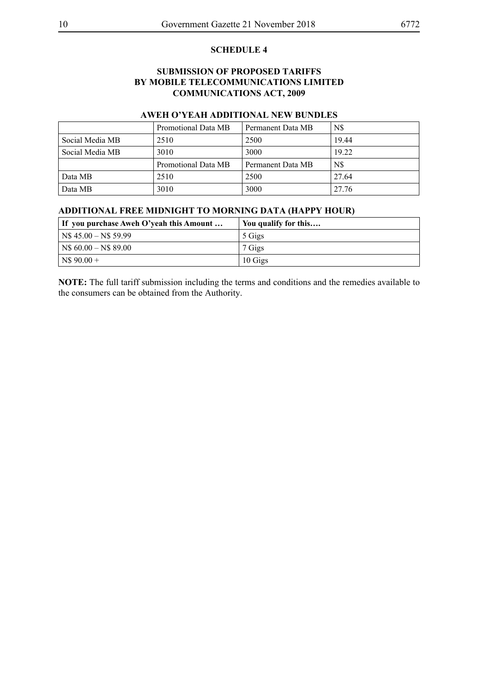### **SUBMISSION OF PROPOSED TARIFFS BY MOBILE TELECOMMUNICATIONS LIMITED COMMUNICATIONS ACT, 2009**

# **AWEH O'YEAH ADDITIONAL NEW BUNDLES**

|                 | Promotional Data MB | Permanent Data MB | N\$   |
|-----------------|---------------------|-------------------|-------|
| Social Media MB | 2510                | 2500              | 19.44 |
| Social Media MB | 3010                | 3000              | 19.22 |
|                 | Promotional Data MB | Permanent Data MB | N\$   |
| Data MB         | 2510                | 2500              | 27.64 |
| Data MB         | 3010                | 3000              | 27.76 |

#### **ADDITIONAL FREE MIDNIGHT TO MORNING DATA (HAPPY HOUR)**

| If you purchase Aweh O'yeah this Amount | You qualify for this |
|-----------------------------------------|----------------------|
| $\vert$ N\$ 45.00 – N\$ 59.99           | 5 Gigs               |
| $\vert$ N\$ 60.00 – N\$ 89.00           | 7 Gigs               |
| $NS 90.00 +$                            | 10 Gigs              |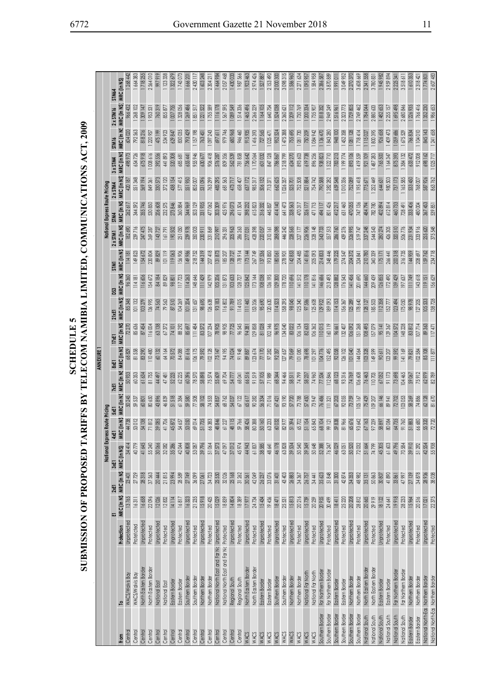| <b>A G ELECTRIC</b> | <b>DOWN THE PROPERTY OF A REAL AND A REAL AND A REAL AND DV CONTRACT DV CONTRACT OF A REAL AND A SAME OF A REAL AND DV CONTRACT DV CONTRACT OF A REAL AND DV CONTRACT OF A REAL AND DV CONTRACT OF A REAL AND DV CONTRACT OF A R</b><br>SUBMISSION OF PROPOSI<br>; |  |
|---------------------|--------------------------------------------------------------------------------------------------------------------------------------------------------------------------------------------------------------------------------------------------------------------|--|
|---------------------|--------------------------------------------------------------------------------------------------------------------------------------------------------------------------------------------------------------------------------------------------------------------|--|

|                                    |                                            |                           |                      |           |                                  |                                |                      |                      | <b>ANNEXURE</b>      |                       |                       |                      |                                  |                 |                                     |           |           |              |                                                            |           |
|------------------------------------|--------------------------------------------|---------------------------|----------------------|-----------|----------------------------------|--------------------------------|----------------------|----------------------|----------------------|-----------------------|-----------------------|----------------------|----------------------------------|-----------------|-------------------------------------|-----------|-----------|--------------|------------------------------------------------------------|-----------|
|                                    |                                            |                           |                      |           |                                  | National Express Route Pricing |                      |                      |                      |                       |                       |                      |                                  |                 | National Express Route Pricing      |           |           |              |                                                            |           |
|                                    |                                            |                           | 冨                    | 2xE1      | 3xE1                             | 4xE1                           | 5xE1                 | 8xE1<br>7xE1         | 17xE1                |                       | DS3<br>$21\times E1$  |                      | STM1                             | $2 \times$ STM1 | STM4                                | 2 x STM4  | 3 x STM4  | <b>STM16</b> | 2 x STM 16                                                 | STM64     |
| Central<br>From                    | WACS/Walvis Bay                            | Unprotected<br>Protection | MRC (In N\$<br>13765 | 23 401    | 34414<br>MRC (In NS) MRC (In NS) | <b>C</b> (In N\$<br>44738<br>Ī | MRC (In N\$<br>50245 | MRC (In N\$<br>50933 | MRC (In N\$<br>68829 | MRC (In N\$)<br>72270 | MRC (In N\$)<br>85348 | MRC (In N\$<br>96360 | MRC (In NS, MRC (In NS)<br>11418 | 182690          | MRC (In N\$ MRC (In N\$)<br>262 617 | 420 187   | 498973    | 604020       | MRC (In NS, MRC (In NS, MRC (In NS) MRC (In NS)<br>966 432 | 1268 442  |
| Central                            | WACS/Walvis Bay                            | Protetcted                | 16311                | 27729     | 40779                            | 53 012                         | 59537                | 60353                | 81558                | 85636                 | 101132                | 14181                | 149823                           | 239716          | 344 592                             | 551 348   | 654726    | 792563       | 268 102                                                    | 1664383   |
| Central                            | North Eastern Border                       | Unprotectec               | 16 658               | 28318     | 41 645                           | 54 138                         | 60801                | 61 634               | 83 290               | 87 454                | 103279                | 116 606              | 154 672                          | 247 475         | 355746                              | 569 194   | 675918    | 818216       | 1 309 147                                                  | 1718255   |
| Central                            | North Eastern Border                       | Protected                 | 22096                | 37563     | 55240                            | 71812                          | 80650                | 81755                | 110480               | 116004                | 136995                | 154 672              | 230 804                          | 369 287         | 530850                              | 849 361   | 008616    | 1220957      | 1953531                                                    | 2564010   |
| Central                            | National East                              | Unprotected               | 12026                | 20 444    | 30066                            | 39085                          | 43896                | 44 497               | 60 132               | 63138                 | 74563                 | 84184                | 89829                            | 143727          | 206 608                             | 330 573   | 392 556   | 475199       | 760319                                                     | 616 266   |
| Central                            | National East                              | Protected                 | 12832                | 21815     | 32082                            | 41706                          | 46839                | 47 481               | 64 164               | 67 372                | 79563                 | 89829                | 101 119                          | 161791          | 232575                              | 372120    | 441 893   | 534923       | 855877                                                     | 1 123 338 |
| Central                            | Eastem Border                              | Unprotected               | 14114                | 23 994    | 35 286                           | 45872                          | 51 518               | 52223                | 70572                | 74 101                | 87510                 | 98801                | 119063                           | 190 502         | 273846                              | 438 154   | 520308    | 629 847      | 1007755                                                    | 1322679   |
| Central                            | Eastern Border                             | Protected                 | 16817                | 28589     | 42044                            | 54 657                         | 61384                | 62 225               | 84088                | 88 29 2               | 104269                | 117 723              | 156906                           | 251050          | 360884                              | 577 415   | 685 681   | 830035       | 1328056                                                    | 1743073   |
| Central                            | Southern Border                            | Unprotected               | 16323                | 27749     | 40808                            | 53050                          | 59 580               | 60396                | 81616                | 85 697                | 101 204               | 114 263              | 149986                           | 239 978         | 344 969                             | 551 950   | 655 441   | 793 429      | 1 269 486                                                  | 166620    |
| Central                            | Southern Border                            | Protected                 | 21235                | 36 099    | 53087                            | 69014                          | 77508                | 78570                | 106175               | 111 484               | 131657                | 148 646              | 218752                           | 350003          | 503 129                             | 805 007   | 955 946   | 1 157 198    | 1851517                                                    | 2430 117  |
| Central                            | Northern Border                            | Unprotected               | 15918                | 27 061    | 39796                            | 51735                          | 58 IOZ               | 58898                | 79 592               | 83572                 | 98695                 | 111 429              | 144319                           | 230 911         | 331935                              | 531096    | 630 677   | 763 451      | 1221522                                                    | 1 603 248 |
| Central                            | Northern Border                            | Protected                 | 20425                | 34723     | 51064                            | 66 383                         | 74553                | 75574                | 102128               | 107 234               | 126638                | 142979               | 207 418                          | 331869          | 477062                              | 763 299   | 906 418   | 1097243      | 1755589                                                    | 2 304 21  |
| Central                            | National North East and Far Nc Unprotected |                           | 15029                | 25550     | 37 573                           | 48846                          | 54857                | 55 609               | 75147                | 78905                 | 93183                 | 105 206              | 131873                           | 210997          | 303 309                             | 485 295   | 576287    | 697611       | 1116178                                                    | 1464984   |
| Central                            | National North East and Far Nc Protected   |                           | 18839                | 32026     | 47097                            | 61 227                         | 68762                | 69 704               | 94195                | 98905                 | 116802                | 131873               | 185 207                          | 296331          | 425 976                             | 681 563   | 809 356   | 979 746      | 1567595                                                    | 2057 468  |
| Central                            | Regional South                             | Unprotected               | 14804                | 25168     | 37012                            | 48 115                         | 54037                | 54777                | 74024                | 77725                 | 91789                 | 103633               | 128727                           | 205963          | 296073                              | 473717    | 562539    | 680968       | 1 089 549                                                  | 1430033   |
| Central                            | Regional South                             | Protected                 | 18389                | 31262     | 45974                            | 59766                          | 67122                | 68 041               | 91948                | 96545                 | 114015                | 128 727              | 178914                           | 286 263         | 411504                              | 658 407   | 781858    | 946 460      | 1514336                                                    | 1987 566  |
| WACS                               | North Eastern Border                       | Unprotected               | 17977                | 30 561    | 44943                            | 58426                          | 65617                | 66 51 6              | 89887                | 94381                 | 111460                | 125 842              | 173144                           | 277031          | 398232                              | 637 172   | 756 642   | 915935       | 465496                                                     | 1923 463  |
| <b>WACS</b>                        | North Eastern Border                       | Protected                 | 24734                | 42049     | 61837                            | 80 388                         | 90282                | 91519                | 123 674              | 129858                | 153356                | 173144               | 267 749                          | 428398          | 615823                              | 985 317   | 1170064   | 1416393      | 2 266 229                                                  | 2974426   |
| NACS                               | Eastem Border                              | Unprotected               | 15434                | 26 237    | 38585                            | 50 160                         | 56 334               | 57105                | 77 170               | 81028                 | 95690                 | 108038               | 137 536                          | 220057          | 316332                              | 506 132   | 601 032   | 727565       | 1 164 105                                                  | 1 527 887 |
| WACS                               | Eastem Border                              | Protected                 | 19456                | 33076     | 48641                            | 63233                          | 71016                | 71989                | 97 282               | 102146                | 120630                | 136 195              | 193850                           | 310161          | 445857                              | 713371    | 847 128   | 1025471      | 1640754                                                    | 2 153 490 |
| WACS                               | Southern Border                            | Unprotected               | 1847                 | 31 401    | 46 178                           | 60032                          | 67 421               | 68 344               | 92357                | 96975                 | 114523                | 129 300              | 180061                           | 288 098         | 414 140                             | 662 625   | 786867    | 952 524      | 1524038                                                    | 2000300   |
| WACS                               | Southern Border                            | Protected                 | 25 531               | 43 403    | 63828                            | 82977                          | 93190                | 94 466               | 127657               | 134040                | 158295                | 178720               | 278901                           | 446 242         | 641 473                             | 1026357   | 1218799   | 1475388      | 2 360 621                                                  | 3098315   |
| NACS                               | Northern Border                            | Unprotected               | 15813                | $26\ 883$ | 39534                            | 51 394                         | 57720                | 58 511               | 79 069               | 83022                 | 98045                 | 110696               | 142853                           | 228565          | 328 563                             | 525 701   | 624 270   | 755 695      | 1 209 112                                                  | 1586960   |
| WACS                               | Northern Border                            | Protected                 | 20216                | 34367     | 50540                            | 65 702                         | 73788                | 74799                | 101080               | 106134                | 125340                | 141 512              | 204 485                          | 327 177         | 470317                              | 752 508   | 893 603   | 1081730      | 1730769                                                    | 2 271 634 |
| <b>NACS</b>                        | National Far North                         | Unprotected               | 15739                | 26 757    | 39349                            | 51 154                         | 57450                | 58237                | 78 698               | 82633                 | 97586                 | 110178               | 141816                           | 226906          | 326177                              | 521884    | 619738    | 750 209      | 1 200 334                                                  | 1095957   |
| WACS                               | National Far North                         | Protected                 | 20259                | 34 44 1   | 50648                            | 65843                          | 73947                | 74960                | 101 297              | 106362                | 125608                | 141816               | 205093                           | 328148          | 471713                              | 754742    | 896 256   | 1084942      | 1735907                                                    | 1 584 958 |
| Southern Border                    | Far Northern Border                        | Unprotected               | 20955                | 35 623    | 52388                            | 68104                          | 76 486               | 77534                | 104776               | 110015                | 129922                | 146 686              | 214833                           | 343733          | 494117                              | 790 588   | 938 823   | 1136470      | 1818352                                                    | 2 386 587 |
| Southern Border                    | Far Northern Border                        | Protected                 | 30 499               | 51848     | 76 247                           | 99 121                         | 111321               | 112846               | 152495               | 160119                | 189093                | 213 493              | 348 446                          | 557513          | 801 426                             | 1 282 282 | 1522710   | 1843 280     | 2949 249                                                   | 3870889   |
| Southern Border                    | Eastern Border                             | Unprotected               | 1841                 | 31300     | 46029                            | 59838                          | 67203                | 68 123               | 92058                | 96 661                | 114153                | 128882               | 179225                           | 286760          | 412217                              | 659 548   | 783213    | 948 100      | 1516961                                                    | 199101    |
| Southern Border                    | Eastern Border                             | Protected                 | 25 220               | 42874     | 63051                            | 81966                          | 92055                | 93316                | 126 102              | 132 407               | 156367                | 176543               | 274547                           | 439 276         | 631 460                             | 1010336   | 1 199 774 | 1 452 358    | 2 323 773                                                  | 3049952   |
| Southern Border                    | Northern Border                            | Unprotected               | 20 208               | 34 353    | 50520                            | 65 676                         | 73759                | 74769                | 101040               | 106092                | 125289                | 141 456              | 204 372                          | 326995          | 470055                              | 752089    | 893106    | 08  128      | 729805                                                     | 2 270 37  |
| Southern Border                    | Northern Border                            | Protected                 | 28812                | 48 982    | 72032                            | 93 642                         | 105167               | 106 608              | 144064               | 151 268               | 178640                | 201690               | 324 841                          | 519747          | 747 136                             | 1 195 418 | 1419 559  | 1718414      | 2749 462                                                   | 3 608 669 |
| National South                     | North Eastern Border                       | <b>Unprotected</b>        | 20665                | 35 131    | 51 664                           | 67163                          | 75 429               | 76463                | 103328               | 108 495               | 128127                | 144660               | 210780                           | 337 248         | 484794                              | 775671    | 921 109   | 115027       | 1784044                                                    | 2 341 558 |
| National South                     | North Eastern Border                       | Protected                 | 29919                | 50863     | 74799                            | 97239                          | 109 207              | 110703               | 149 599              | 157079                | 185503                | 209 439              | 340 339                          | 544 543         | 782780                              | 1252449   | 1 487 283 | 1800395      | 2880633                                                    | 3780831   |
| National South                     | Eastern Border                             | Unprotected               | 18122                | 30807     | 45 305                           | 58897                          | 66146                | 67 052               | 90 611               | 95141                 | 112358                | 126855               | 175171                           | 280 274         | 402 894                             | 644 631   | 765500    | 926 658      | 1 482 653                                                  | 1945 982  |
| National South                     | Eastern Border                             | Protected                 | 24 641               | 41890     | 61 603                           | 80084                          | 89 941               | 91 173               | 123 207              | 129367                | 152777                | 172 490              | 266 441                          | 426305          | 612814                              | 980 503   | 1164347   | 1 409 473    | 2 255 157                                                  | 2959894   |
| National South                     | Far Northern Border                        | Unprotected               | 19918                | 33 861    | 49796                            | 64735                          | 72702                | 73 698               | 99 592               | 104572                | 123 494               | 139 429              | 200 318                          | 320510          | 460733                              | 737 173   | 875 393   | 1 059 686    | 1 695 498                                                  | 2 225 341 |
| National South                     | Far Northern Border                        | Protected                 | 28233                | 47 997    | 70584                            | 91760                          | 103053               | 104465               | 141 169              | 148228                | 175050                | 197 637              | 316735                           | 506776          | 728 491                             | 1165585   | 384 132   | 1675529      | 2 680 846                                                  | 3 518 611 |
| Eastern Border                     | Northern Border                            | Unprotected               | 15964                | 27 139    | 39 910                           | 51883                          | 58269                | 59067                | 79 821               | 83812                 | 98978                 | 111749               | 144 959                          | 231934          | 333 406                             | 533 450   | 633 472   | 766834       | 1 226 935                                                  | 1610353   |
| Eastern Border                     | Northern Border                            | Protected                 | 20516                | 34878     | 51 292                           | 66 680                         | 74886                | 75912                | 102 584              | 107 714               | 127 205               | 143618               | 208 697                          | 333916          | 480004                              | 768007    | 912008    | 1104010      | 766416                                                     | 2318421   |
| National North-Eas Northern Border |                                            | Unprotected               | 17021                | 28936     | 42554                            | 55320                          | 62128                | 62979                | 85108                | 89363                 | 105533                | 19151                | 159762                           | 255 620         | 367 453                             | 587 926   | 698162    | 845 143      | 352 230                                                    | 1774801   |
| National North-Eas Northern Border |                                            | Protected                 | 22 375               | 38038     | 55938                            | 72720                          | 81670                | 82789                | 11187                | 11747                 | 138728                | 156 629              | 234718                           | 375548          | 539 851                             | 863762    | 1025717   | 1 241 658    | 1986 653                                                   | 2607483   |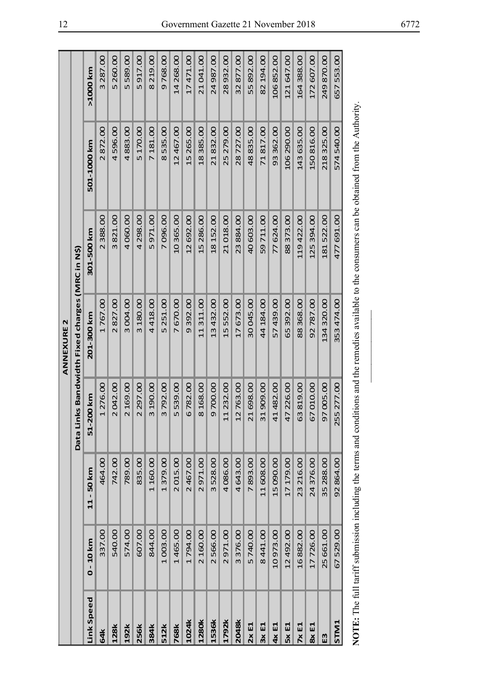|              |             |              |                     | <b>ANNEXURE 2</b>                        |            |                                                                                                                                                     |             |
|--------------|-------------|--------------|---------------------|------------------------------------------|------------|-----------------------------------------------------------------------------------------------------------------------------------------------------|-------------|
|              |             |              | Data Li             | nks Bandwidth Fixed charges (MRC in N\$) |            |                                                                                                                                                     |             |
| Link Speed   | $0 - 10$ km | $11 - 50$ km | 200 km<br><u> 다</u> | 201-300 km                               | 301-500 km | 501-1000 km                                                                                                                                         | >1000 km    |
| 64k          | 337.00      | 464.00       | 1 276.00            | 1767.00                                  | 2 388.00   | 2872.00                                                                                                                                             | 3 287.00    |
| 128k         | 540.00      | 742.00       | 2042.00             | 2827.00                                  | 3821.00    | 4596.00                                                                                                                                             | 5 260.00    |
| 192k         | 574.00      | 789.00       | 2 169.00            | 3004.00                                  | 4060.00    | 4883.00                                                                                                                                             | 5589.00     |
| <b>256k</b>  | 607.00      | 835.00       | 2 297.00            | 3 180.00                                 | 4 298.00   | 5 170.00                                                                                                                                            | 5917.00     |
| 384k         | 844.00      | 1160.00      | 3 190.00            | 4418.00                                  | 5971.00    | 7 181.00                                                                                                                                            | 8 2 1 9 .00 |
| 512k         | 1003.00     | 1379.00      | 3792.00             | 5 251.00                                 | 7096.00    | 8535.00                                                                                                                                             | 9768.00     |
| <b>768k</b>  | 1465.00     | 2015.00      | 5539.00             | 7670.00                                  | 10 365.00  | 12 467.00                                                                                                                                           | 14 268.00   |
| 1024k        | 1794.00     | 2467.00      | 6782.00             | 9392.00                                  | 12 692.00  | 15 265.00                                                                                                                                           | 17471.00    |
| 1280k        | 2 160.00    | 2971.00      | 8 168.00            | 11311.00                                 | 15 286.00  | 18385.00                                                                                                                                            | 21041.00    |
| 1536k        | 2566.00     | 3528.00      | 9700.00             | 13432.00                                 | 18 152.00  | 21832.00                                                                                                                                            | 24987.00    |
| 1792k        | 2971.00     | 4086.00      | 11 232.00           | 15552.00                                 | 21018.00   | 25 279.00                                                                                                                                           | 28932.00    |
| <b>2048k</b> | 3376.00     | 4643.00      | 12763.00            | 17673.00                                 | 23884.00   | 28727.00                                                                                                                                            | 32877.00    |
| 2xE1         | 5740.00     | 7893.00      | 21 698.00           | 30045.00                                 | 40603.00   | 48835.00                                                                                                                                            | 55892.00    |
| 3xE1         | 8441.00     | 11 608.00    | 31909.00            | 44 184.00                                | 59711.00   | 71817.00                                                                                                                                            | 82 194.00   |
| 4x E1        | 10973.00    | 15 090.00    | 41 482.00           | 57439.00                                 | 77624.00   | 93362.00                                                                                                                                            | 106852.00   |
| 5xE1         | 12 492.00   | 17179.00     | 47 226.00           | 65 392.00                                | 88373.00   | 106 290.00                                                                                                                                          | 121 647.00  |
| 7xE1         | 16882.00    | 23 216.00    | 63819.00            | 88368.00                                 | 119422.00  | 143 635.00                                                                                                                                          | 164 388.00  |
| 8x E1        | 17726.00    | 24376.00     | 67010.00            | 92787.00                                 | 125 394.00 | 150816.00                                                                                                                                           | 172 607.00  |
| E3           | 25 661.00   | 35 288.00    | 97 005.00           | 134320.00                                | 181522.00  | 218 325.00                                                                                                                                          | 249870.00   |
| STM1         | 67529.00    | 92864.00     | 255 277.00          | 353474.00                                | 477 691.00 | 574 540.00                                                                                                                                          | 657553.00   |
|              |             |              |                     |                                          |            | NOTE: The full tariff submission including the terms and conditions and the remedies available to the consumers can be obtained from the Authority. |             |
|              |             |              |                     |                                          |            |                                                                                                                                                     |             |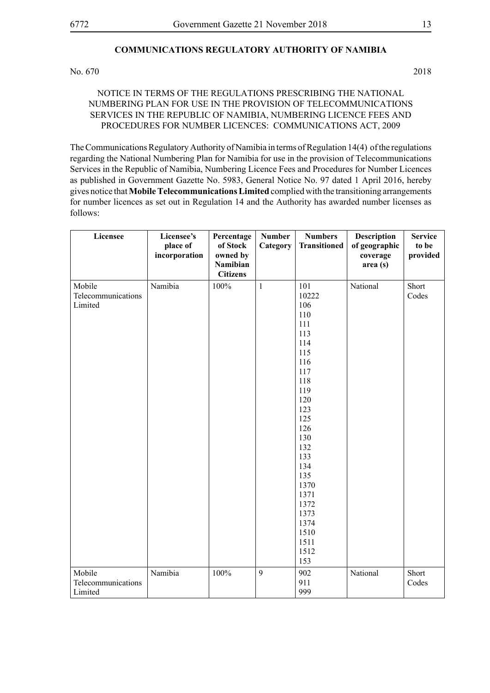# **COMMUNICATIONS REGULATORY AUTHORITY OF NAMIBIA**

No. 670 2018

#### NOTICE IN TERMS OF THE REGULATIONS PRESCRIBING THE NATIONAL NUMBERING PLAN FOR USE IN THE PROVISION OF TELECOMMUNICATIONS SERVICES IN THE REPUBLIC OF NAMIBIA, NUMBERING LICENCE FEES AND PROCEDURES FOR NUMBER LICENCES: COMMUNICATIONS ACT, 2009

The Communications Regulatory Authority of Namibia in terms of Regulation 14(4) of the regulations regarding the National Numbering Plan for Namibia for use in the provision of Telecommunications Services in the Republic of Namibia, Numbering Licence Fees and Procedures for Number Licences as published in Government Gazette No. 5983, General Notice No. 97 dated 1 April 2016, hereby gives notice that **Mobile Telecommunications Limited** complied with the transitioning arrangements for number licences as set out in Regulation 14 and the Authority has awarded number licenses as follows:

| Licensee                                | Licensee's<br>place of<br>incorporation | Percentage<br>of Stock<br>owned by<br><b>Namibian</b><br><b>Citizens</b> | <b>Number</b><br>Category | <b>Numbers</b><br><b>Transitioned</b>                                                                                                                                                                                    | <b>Description</b><br>of geographic<br>coverage<br>area (s) | <b>Service</b><br>to be<br>provided |
|-----------------------------------------|-----------------------------------------|--------------------------------------------------------------------------|---------------------------|--------------------------------------------------------------------------------------------------------------------------------------------------------------------------------------------------------------------------|-------------------------------------------------------------|-------------------------------------|
| Mobile<br>Telecommunications<br>Limited | Namibia                                 | 100%                                                                     | $\mathbf{1}$              | 101<br>10222<br>106<br>110<br>111<br>113<br>114<br>115<br>116<br>117<br>118<br>119<br>120<br>123<br>125<br>126<br>130<br>132<br>133<br>134<br>135<br>1370<br>1371<br>1372<br>1373<br>1374<br>1510<br>1511<br>1512<br>153 | National                                                    | Short<br>Codes                      |
| Mobile<br>Telecommunications<br>Limited | Namibia                                 | 100%                                                                     | 9                         | 902<br>911<br>999                                                                                                                                                                                                        | National                                                    | Short<br>Codes                      |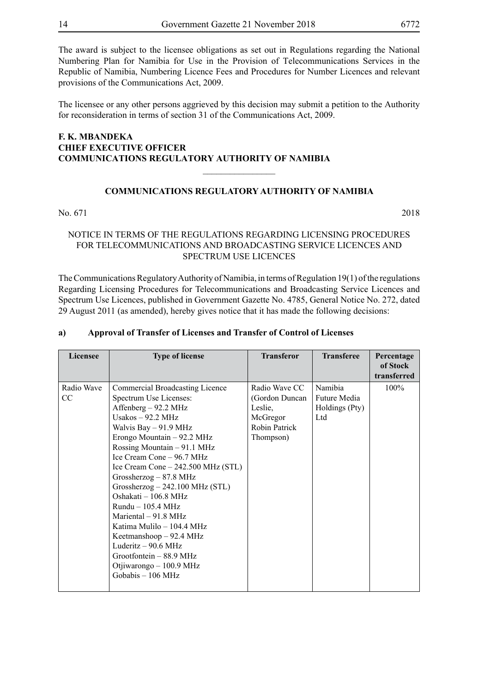The award is subject to the licensee obligations as set out in Regulations regarding the National Numbering Plan for Namibia for Use in the Provision of Telecommunications Services in the Republic of Namibia, Numbering Licence Fees and Procedures for Number Licences and relevant provisions of the Communications Act, 2009.

The licensee or any other persons aggrieved by this decision may submit a petition to the Authority for reconsideration in terms of section 31 of the Communications Act, 2009.

# **F. K. MBANDEKA CHIEF EXECUTIVE OFFICER COMMUNICATIONS REGULATORY AUTHORITY OF NAMIBIA**

#### **COMMUNICATIONS REGULATORY AUTHORITY OF NAMIBIA**

 $\overline{\phantom{a}}$  , where  $\overline{\phantom{a}}$ 

No. 671 2018

#### NOTICE IN TERMS OF THE REGULATIONS REGARDING LICENSING PROCEDURES FOR TELECOMMUNICATIONS AND BROADCASTING SERVICE LICENCES AND SPECTRUM USE LICENCES

The Communications Regulatory Authority of Namibia, in terms of Regulation 19(1) of the regulations Regarding Licensing Procedures for Telecommunications and Broadcasting Service Licences and Spectrum Use Licences, published in Government Gazette No. 4785, General Notice No. 272, dated 29 August 2011 (as amended), hereby gives notice that it has made the following decisions:

#### **a) Approval of Transfer of Licenses and Transfer of Control of Licenses**

| Licensee      | <b>Type of license</b>              | <b>Transferor</b> | <b>Transferee</b> | Percentage<br>of Stock |
|---------------|-------------------------------------|-------------------|-------------------|------------------------|
|               |                                     |                   |                   | transferred            |
| Radio Wave    | Commercial Broadcasting Licence     | Radio Wave CC     | Namibia           | 100%                   |
| <sub>CC</sub> | Spectrum Use Licenses:              | (Gordon Duncan    | Future Media      |                        |
|               | Affenberg – 92.2 MHz                | Leslie,           | Holdings (Pty)    |                        |
|               | Usakos $-92.2$ MHz                  | McGregor          | Ltd               |                        |
|               | Walvis Bay - 91.9 MHz               | Robin Patrick     |                   |                        |
|               | Erongo Mountain $-92.2$ MHz         | Thompson)         |                   |                        |
|               | Rossing Mountain – 91.1 MHz         |                   |                   |                        |
|               | Ice Cream Cone – 96.7 MHz           |                   |                   |                        |
|               | Ice Cream Cone $-242.500$ MHz (STL) |                   |                   |                        |
|               | Grossherzog $-87.8$ MHz             |                   |                   |                        |
|               | $Grossherzog - 242.100 MHz (STL)$   |                   |                   |                        |
|               | Oshakati - 106.8 MHz                |                   |                   |                        |
|               | $Rundu - 105.4 MHz$                 |                   |                   |                        |
|               | Mariental $-91.8$ MHz               |                   |                   |                        |
|               | Katima Mulilo – 104.4 MHz           |                   |                   |                        |
|               | Keetmanshoop $-92.4$ MHz            |                   |                   |                        |
|               | Luderitz $-90.6$ MHz                |                   |                   |                        |
|               | Grootfontein $-88.9$ MHz            |                   |                   |                        |
|               | Otjiwarongo - 100.9 MHz             |                   |                   |                        |
|               | Gobabis - 106 MHz                   |                   |                   |                        |
|               |                                     |                   |                   |                        |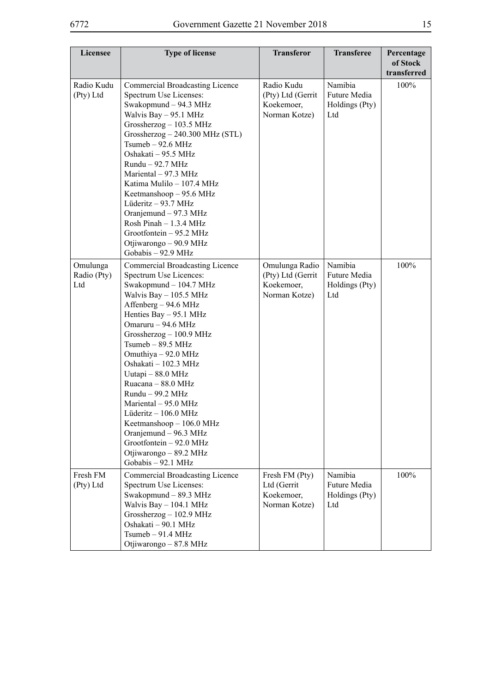| Licensee                       | <b>Type of license</b>                                                                                                                                                                                                                                                                                                                                                                                                                                                                                                                          | <b>Transferor</b>                                                  | <b>Transferee</b>                                | Percentage<br>of Stock<br>transferred |
|--------------------------------|-------------------------------------------------------------------------------------------------------------------------------------------------------------------------------------------------------------------------------------------------------------------------------------------------------------------------------------------------------------------------------------------------------------------------------------------------------------------------------------------------------------------------------------------------|--------------------------------------------------------------------|--------------------------------------------------|---------------------------------------|
| Radio Kudu<br>(Pty) Ltd        | Commercial Broadcasting Licence<br>Spectrum Use Licenses:<br>Swakopmund - 94.3 MHz<br>Walvis Bay - 95.1 MHz<br>Grossherzog $-103.5$ MHz<br>$Grossherzog - 240.300 MHz (STL)$<br>$Tsumeb - 92.6 MHz$<br>Oshakati - 95.5 MHz<br>$Rundu - 92.7 MHz$<br>Mariental - 97.3 MHz<br>Katima Mulilo - 107.4 MHz<br>Keetmanshoop - 95.6 MHz<br>Lüderitz - 93.7 MHz<br>Oranjemund - 97.3 MHz<br>Rosh Pinah - 1.3.4 MHz<br>Grootfontein - 95.2 MHz<br>Otjiwarongo - 90.9 MHz<br>Gobabis - 92.9 MHz                                                           | Radio Kudu<br>(Pty) Ltd (Gerrit<br>Koekemoer,<br>Norman Kotze)     | Namibia<br>Future Media<br>Holdings (Pty)<br>Ltd | 100%                                  |
| Omulunga<br>Radio (Pty)<br>Ltd | <b>Commercial Broadcasting Licence</b><br>Spectrum Use Licences:<br>Swakopmund - 104.7 MHz<br>Walvis Bay - 105.5 MHz<br>Affenberg - 94.6 MHz<br>Henties Bay $-$ 95.1 MHz<br>Omaruru - 94.6 MHz<br>Grossherzog - 100.9 MHz<br>$Tsumeb - 89.5 MHz$<br>Omuthiya - 92.0 MHz<br>Oshakati - 102.3 MHz<br>Uutapi - 88.0 MHz<br>Ruacana - 88.0 MHz<br>Rundu - 99.2 MHz<br>Mariental - 95.0 MHz<br>Lüderitz $-106.0$ MHz<br>Keetmanshoop - 106.0 MHz<br>Oranjemund - 96.3 MHz<br>Grootfontein - 92.0 MHz<br>Otjiwarongo – 89.2 MHz<br>Gobabis - 92.1 MHz | Omulunga Radio<br>(Pty) Ltd (Gerrit<br>Koekemoer,<br>Norman Kotze) | Namibia<br>Future Media<br>Holdings (Pty)<br>Ltd | 100%                                  |
| Fresh FM<br>(Pty) Ltd          | Commercial Broadcasting Licence<br>Spectrum Use Licenses:<br>Swakopmund - 89.3 MHz<br>Walvis Bay - 104.1 MHz<br>Grossherzog $-102.9$ MHz<br>Oshakati - 90.1 MHz<br>$Tsumeb - 91.4 MHz$<br>Otjiwarongo - 87.8 MHz                                                                                                                                                                                                                                                                                                                                | Fresh FM (Pty)<br>Ltd (Gerrit<br>Koekemoer,<br>Norman Kotze)       | Namibia<br>Future Media<br>Holdings (Pty)<br>Ltd | 100%                                  |